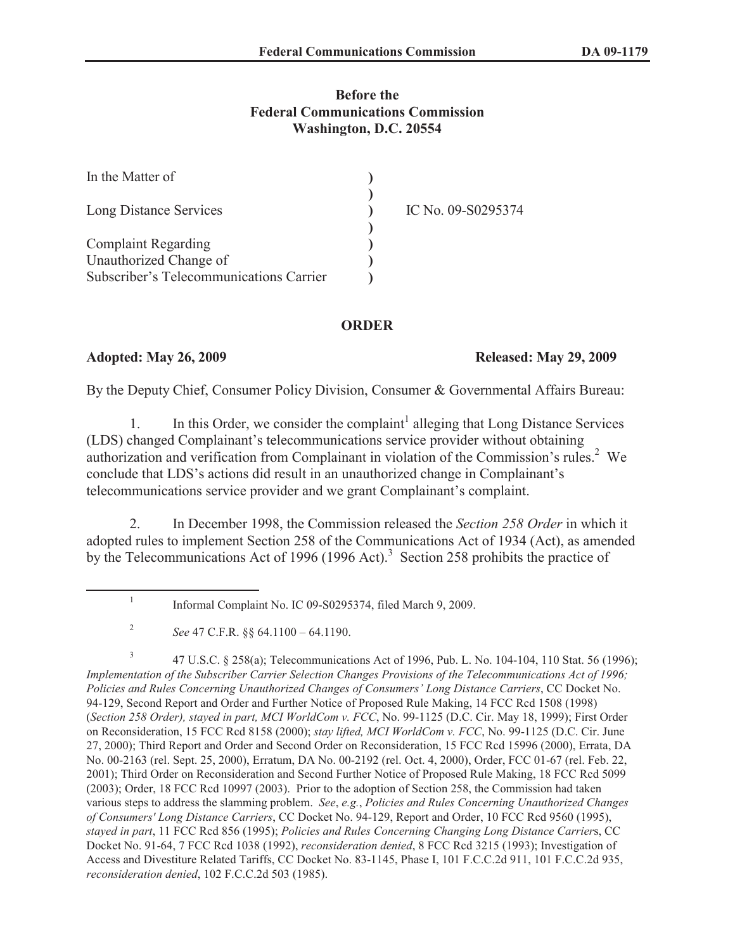## **Before the Federal Communications Commission Washington, D.C. 20554**

| In the Matter of                        |                    |
|-----------------------------------------|--------------------|
|                                         |                    |
| Long Distance Services                  | IC No. 09-S0295374 |
| <b>Complaint Regarding</b>              |                    |
| Unauthorized Change of                  |                    |
| Subscriber's Telecommunications Carrier |                    |

### **ORDER**

### **Adopted: May 26, 2009 Released: May 29, 2009**

By the Deputy Chief, Consumer Policy Division, Consumer & Governmental Affairs Bureau:

1. In this Order, we consider the complaint<sup>1</sup> alleging that Long Distance Services (LDS) changed Complainant's telecommunications service provider without obtaining authorization and verification from Complainant in violation of the Commission's rules.<sup>2</sup> We conclude that LDS's actions did result in an unauthorized change in Complainant's telecommunications service provider and we grant Complainant's complaint.

2. In December 1998, the Commission released the *Section 258 Order* in which it adopted rules to implement Section 258 of the Communications Act of 1934 (Act), as amended by the Telecommunications Act of 1996 (1996 Act).<sup>3</sup> Section 258 prohibits the practice of

3 47 U.S.C. § 258(a); Telecommunications Act of 1996, Pub. L. No. 104-104, 110 Stat. 56 (1996); *Implementation of the Subscriber Carrier Selection Changes Provisions of the Telecommunications Act of 1996; Policies and Rules Concerning Unauthorized Changes of Consumers' Long Distance Carriers*, CC Docket No. 94-129, Second Report and Order and Further Notice of Proposed Rule Making, 14 FCC Rcd 1508 (1998) (*Section 258 Order), stayed in part, MCI WorldCom v. FCC*, No. 99-1125 (D.C. Cir. May 18, 1999); First Order on Reconsideration, 15 FCC Rcd 8158 (2000); *stay lifted, MCI WorldCom v. FCC*, No. 99-1125 (D.C. Cir. June 27, 2000); Third Report and Order and Second Order on Reconsideration, 15 FCC Rcd 15996 (2000), Errata, DA No. 00-2163 (rel. Sept. 25, 2000), Erratum, DA No. 00-2192 (rel. Oct. 4, 2000), Order, FCC 01-67 (rel. Feb. 22, 2001); Third Order on Reconsideration and Second Further Notice of Proposed Rule Making, 18 FCC Rcd 5099 (2003); Order, 18 FCC Rcd 10997 (2003). Prior to the adoption of Section 258, the Commission had taken various steps to address the slamming problem. *See*, *e.g.*, *Policies and Rules Concerning Unauthorized Changes of Consumers' Long Distance Carriers*, CC Docket No. 94-129, Report and Order, 10 FCC Rcd 9560 (1995), *stayed in part*, 11 FCC Rcd 856 (1995); *Policies and Rules Concerning Changing Long Distance Carrier*s, CC Docket No. 91-64, 7 FCC Rcd 1038 (1992), *reconsideration denied*, 8 FCC Rcd 3215 (1993); Investigation of Access and Divestiture Related Tariffs, CC Docket No. 83-1145, Phase I, 101 F.C.C.2d 911, 101 F.C.C.2d 935, *reconsideration denied*, 102 F.C.C.2d 503 (1985).

<sup>1</sup> Informal Complaint No. IC 09-S0295374, filed March 9, 2009.

<sup>2</sup> *See* 47 C.F.R. §§ 64.1100 – 64.1190.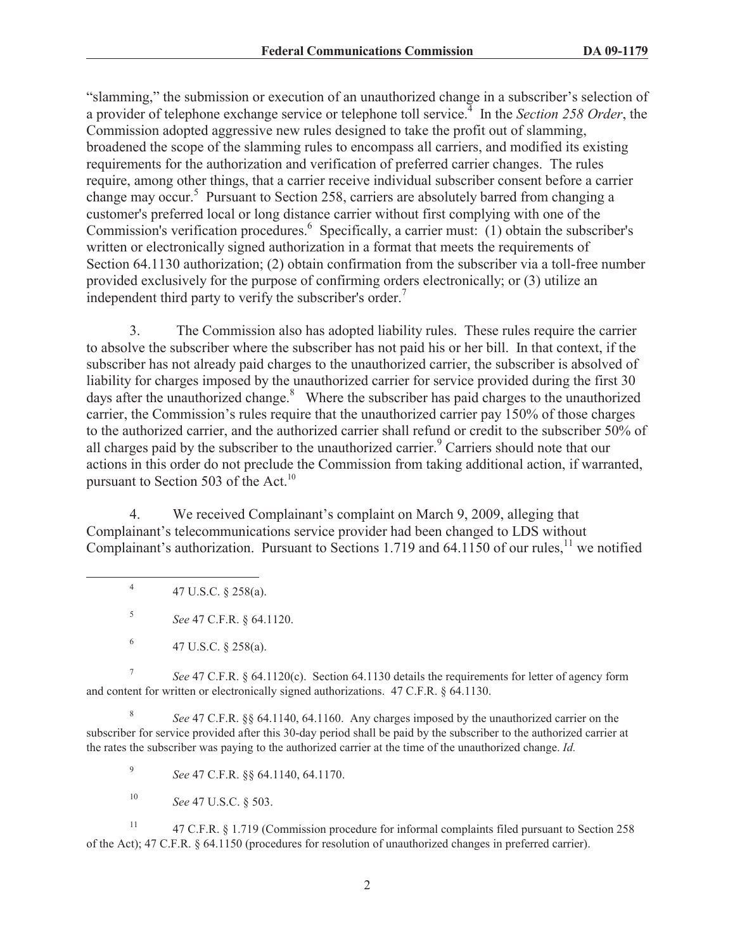"slamming," the submission or execution of an unauthorized change in a subscriber's selection of a provider of telephone exchange service or telephone toll service.<sup>4</sup> In the *Section 258 Order*, the Commission adopted aggressive new rules designed to take the profit out of slamming, broadened the scope of the slamming rules to encompass all carriers, and modified its existing requirements for the authorization and verification of preferred carrier changes. The rules require, among other things, that a carrier receive individual subscriber consent before a carrier change may occur.<sup>5</sup> Pursuant to Section 258, carriers are absolutely barred from changing a customer's preferred local or long distance carrier without first complying with one of the Commission's verification procedures.<sup>6</sup> Specifically, a carrier must: (1) obtain the subscriber's written or electronically signed authorization in a format that meets the requirements of Section 64.1130 authorization; (2) obtain confirmation from the subscriber via a toll-free number provided exclusively for the purpose of confirming orders electronically; or (3) utilize an independent third party to verify the subscriber's order.<sup>7</sup>

3. The Commission also has adopted liability rules. These rules require the carrier to absolve the subscriber where the subscriber has not paid his or her bill. In that context, if the subscriber has not already paid charges to the unauthorized carrier, the subscriber is absolved of liability for charges imposed by the unauthorized carrier for service provided during the first 30 days after the unauthorized change. $8$  Where the subscriber has paid charges to the unauthorized carrier, the Commission's rules require that the unauthorized carrier pay 150% of those charges to the authorized carrier, and the authorized carrier shall refund or credit to the subscriber 50% of all charges paid by the subscriber to the unauthorized carrier.<sup>9</sup> Carriers should note that our actions in this order do not preclude the Commission from taking additional action, if warranted, pursuant to Section 503 of the Act.<sup>10</sup>

4. We received Complainant's complaint on March 9, 2009, alleging that Complainant's telecommunications service provider had been changed to LDS without Complainant's authorization. Pursuant to Sections 1.719 and 64.1150 of our rules,<sup>11</sup> we notified

4 47 U.S.C. § 258(a).

5 *See* 47 C.F.R. § 64.1120.

7 *See* 47 C.F.R. § 64.1120(c). Section 64.1130 details the requirements for letter of agency form and content for written or electronically signed authorizations. 47 C.F.R. § 64.1130.

8 *See* 47 C.F.R. §§ 64.1140, 64.1160. Any charges imposed by the unauthorized carrier on the subscriber for service provided after this 30-day period shall be paid by the subscriber to the authorized carrier at the rates the subscriber was paying to the authorized carrier at the time of the unauthorized change. *Id.*

9 *See* 47 C.F.R. §§ 64.1140, 64.1170.

<sup>10</sup> *See* 47 U.S.C. § 503.

<sup>11</sup> 47 C.F.R. § 1.719 (Commission procedure for informal complaints filed pursuant to Section 258 of the Act); 47 C.F.R. § 64.1150 (procedures for resolution of unauthorized changes in preferred carrier).

<sup>6</sup> 47 U.S.C. § 258(a).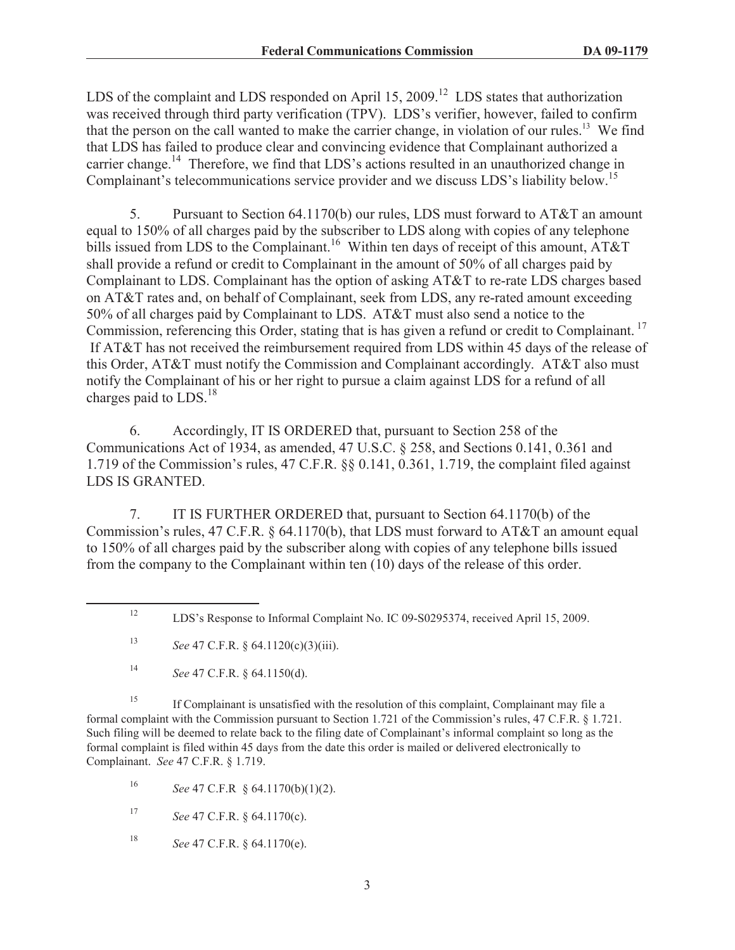LDS of the complaint and LDS responded on April 15, 2009.<sup>12</sup> LDS states that authorization was received through third party verification (TPV). LDS's verifier, however, failed to confirm that the person on the call wanted to make the carrier change, in violation of our rules.<sup>13</sup> We find that LDS has failed to produce clear and convincing evidence that Complainant authorized a carrier change.<sup>14</sup> Therefore, we find that LDS's actions resulted in an unauthorized change in Complainant's telecommunications service provider and we discuss LDS's liability below.<sup>15</sup>

5. Pursuant to Section 64.1170(b) our rules, LDS must forward to AT&T an amount equal to 150% of all charges paid by the subscriber to LDS along with copies of any telephone bills issued from LDS to the Complainant.<sup>16</sup> Within ten days of receipt of this amount, AT&T shall provide a refund or credit to Complainant in the amount of 50% of all charges paid by Complainant to LDS. Complainant has the option of asking AT&T to re-rate LDS charges based on AT&T rates and, on behalf of Complainant, seek from LDS, any re-rated amount exceeding 50% of all charges paid by Complainant to LDS. AT&T must also send a notice to the Commission, referencing this Order, stating that is has given a refund or credit to Complainant.<sup>17</sup> If AT&T has not received the reimbursement required from LDS within 45 days of the release of this Order, AT&T must notify the Commission and Complainant accordingly. AT&T also must notify the Complainant of his or her right to pursue a claim against LDS for a refund of all charges paid to  $LDS<sup>18</sup>$ 

6. Accordingly, IT IS ORDERED that, pursuant to Section 258 of the Communications Act of 1934, as amended, 47 U.S.C. § 258, and Sections 0.141, 0.361 and 1.719 of the Commission's rules, 47 C.F.R. §§ 0.141, 0.361, 1.719, the complaint filed against LDS IS GRANTED.

7. IT IS FURTHER ORDERED that, pursuant to Section 64.1170(b) of the Commission's rules, 47 C.F.R. § 64.1170(b), that LDS must forward to AT&T an amount equal to 150% of all charges paid by the subscriber along with copies of any telephone bills issued from the company to the Complainant within ten (10) days of the release of this order.

<sup>15</sup> If Complainant is unsatisfied with the resolution of this complaint, Complainant may file a formal complaint with the Commission pursuant to Section 1.721 of the Commission's rules, 47 C.F.R. § 1.721. Such filing will be deemed to relate back to the filing date of Complainant's informal complaint so long as the formal complaint is filed within 45 days from the date this order is mailed or delivered electronically to Complainant. *See* 47 C.F.R. § 1.719.

- <sup>16</sup> *See* 47 C.F.R § 64.1170(b)(1)(2).
- <sup>17</sup> *See* 47 C.F.R. § 64.1170(c).
- <sup>18</sup> *See* 47 C.F.R. § 64.1170(e).

<sup>&</sup>lt;sup>12</sup> LDS's Response to Informal Complaint No. IC 09-S0295374, received April 15, 2009.

<sup>13</sup> *See* 47 C.F.R. § 64.1120(c)(3)(iii).

<sup>14</sup> *See* 47 C.F.R. § 64.1150(d).